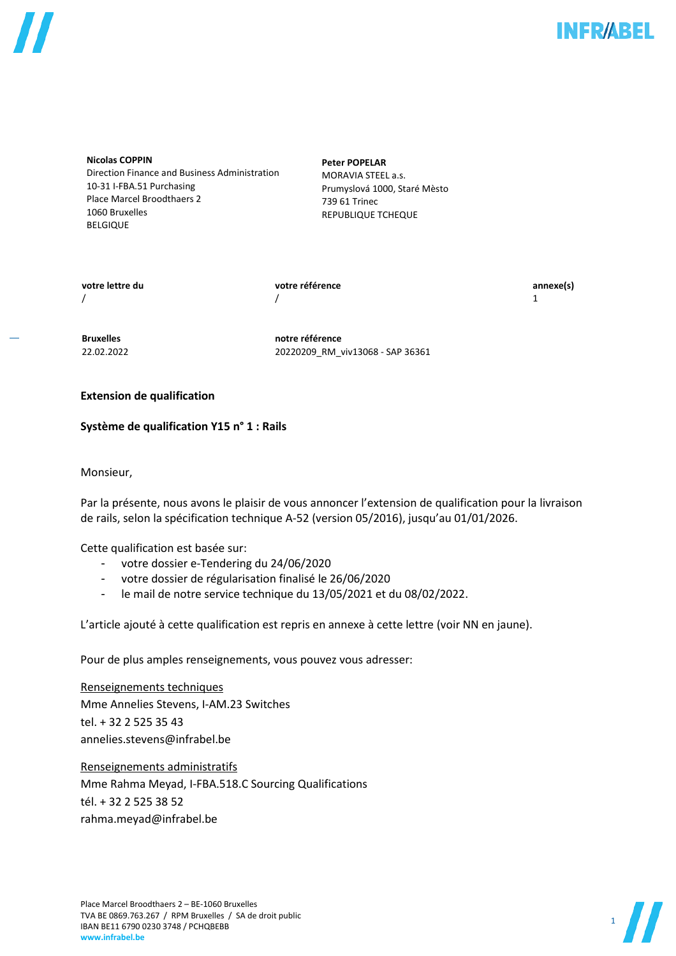

**Nicolas COPPIN** Direction Finance and Business Administration 10-31 I-FBA.51 Purchasing Place Marcel Broodthaers 2 1060 Bruxelles BELGIQUE

**Peter POPELAR** MORAVIA STEEL a.s. Prumyslová 1000, Staré Mèsto 739 61 Trinec REPUBLIQUE TCHEQUE

**votre lettre du votre référence annexe(s)**  $/$  1

**Bruxelles notre référence** 22.02.2022 20220209\_RM\_viv13068 - SAP 36361

# **Extension de qualification**

# **Système de qualification Y15 n° 1 : Rails**

Monsieur,

Par la présente, nous avons le plaisir de vous annoncer l'extension de qualification pour la livraison de rails, selon la spécification technique A-52 (version 05/2016), jusqu'au 01/01/2026.

Cette qualification est basée sur:

- votre dossier e-Tendering du 24/06/2020
- votre dossier de régularisation finalisé le 26/06/2020
- le mail de notre service technique du 13/05/2021 et du 08/02/2022.

L'article ajouté à cette qualification est repris en annexe à cette lettre (voir NN en jaune).

Pour de plus amples renseignements, vous pouvez vous adresser:

Renseignements techniques Mme Annelies Stevens, I-AM.23 Switches tel. + 32 2 525 35 43 [annelies.stevens@infrabel.be](mailto:annelies.stevens@infrabel.be)

Renseignements administratifs Mme Rahma Meyad, I-FBA.518.C Sourcing Qualifications tél. + 32 2 525 38 52 rahma.meyad@infrabel.be

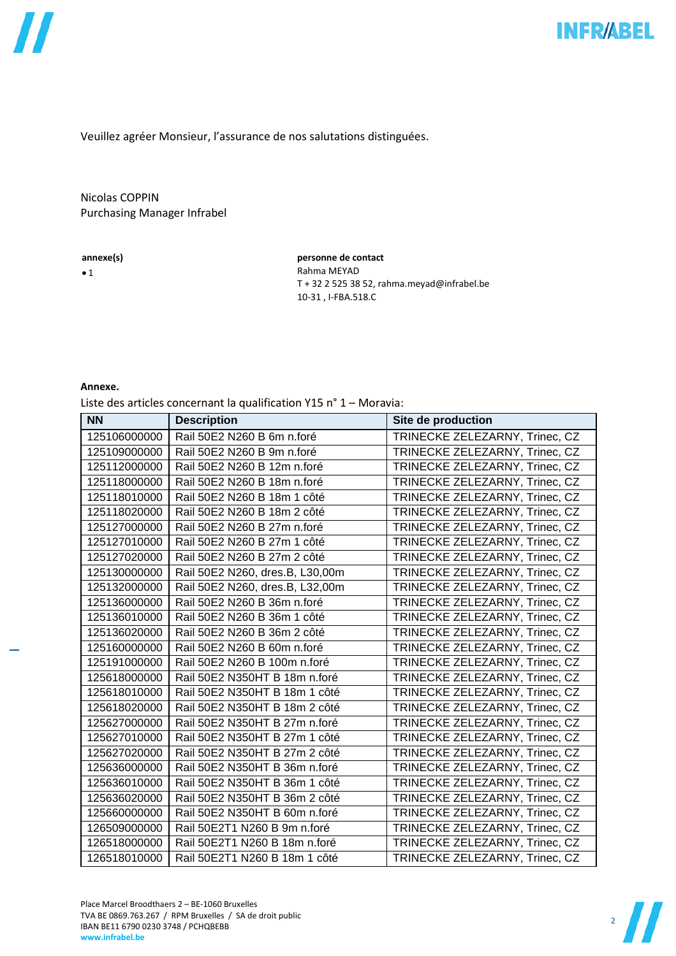Veuillez agréer Monsieur, l'assurance de nos salutations distinguées.

# Nicolas COPPIN Purchasing Manager Infrabel

#### **annexe(s)**

 $\bullet$  1

**personne de contact** Rahma MEYAD T + 32 2 525 38 52, rahma.meyad@infrabel.be 10-31 , I-FBA.518.C

### **Annexe.**

Liste des articles concernant la qualification Y15 n° 1 – Moravia:

| <b>NN</b>    | <b>Description</b>              | Site de production             |
|--------------|---------------------------------|--------------------------------|
| 125106000000 | Rail 50E2 N260 B 6m n.foré      | TRINECKE ZELEZARNY, Trinec, CZ |
| 125109000000 | Rail 50E2 N260 B 9m n.foré      | TRINECKE ZELEZARNY, Trinec, CZ |
| 125112000000 | Rail 50E2 N260 B 12m n.foré     | TRINECKE ZELEZARNY, Trinec, CZ |
| 125118000000 | Rail 50E2 N260 B 18m n.foré     | TRINECKE ZELEZARNY, Trinec, CZ |
| 125118010000 | Rail 50E2 N260 B 18m 1 côté     | TRINECKE ZELEZARNY, Trinec, CZ |
| 125118020000 | Rail 50E2 N260 B 18m 2 côté     | TRINECKE ZELEZARNY, Trinec, CZ |
| 125127000000 | Rail 50E2 N260 B 27m n.foré     | TRINECKE ZELEZARNY, Trinec, CZ |
| 125127010000 | Rail 50E2 N260 B 27m 1 côté     | TRINECKE ZELEZARNY, Trinec, CZ |
| 125127020000 | Rail 50E2 N260 B 27m 2 côté     | TRINECKE ZELEZARNY, Trinec, CZ |
| 125130000000 | Rail 50E2 N260, dres.B, L30,00m | TRINECKE ZELEZARNY, Trinec, CZ |
| 125132000000 | Rail 50E2 N260, dres.B, L32,00m | TRINECKE ZELEZARNY, Trinec, CZ |
| 125136000000 | Rail 50E2 N260 B 36m n.foré     | TRINECKE ZELEZARNY, Trinec, CZ |
| 125136010000 | Rail 50E2 N260 B 36m 1 côté     | TRINECKE ZELEZARNY, Trinec, CZ |
| 125136020000 | Rail 50E2 N260 B 36m 2 côté     | TRINECKE ZELEZARNY, Trinec, CZ |
| 125160000000 | Rail 50E2 N260 B 60m n.foré     | TRINECKE ZELEZARNY, Trinec, CZ |
| 125191000000 | Rail 50E2 N260 B 100m n.foré    | TRINECKE ZELEZARNY, Trinec, CZ |
| 125618000000 | Rail 50E2 N350HT B 18m n.foré   | TRINECKE ZELEZARNY, Trinec, CZ |
| 125618010000 | Rail 50E2 N350HT B 18m 1 côté   | TRINECKE ZELEZARNY, Trinec, CZ |
| 125618020000 | Rail 50E2 N350HT B 18m 2 côté   | TRINECKE ZELEZARNY, Trinec, CZ |
| 125627000000 | Rail 50E2 N350HT B 27m n.foré   | TRINECKE ZELEZARNY, Trinec, CZ |
| 125627010000 | Rail 50E2 N350HT B 27m 1 côté   | TRINECKE ZELEZARNY, Trinec, CZ |
| 125627020000 | Rail 50E2 N350HT B 27m 2 côté   | TRINECKE ZELEZARNY, Trinec, CZ |
| 125636000000 | Rail 50E2 N350HT B 36m n.foré   | TRINECKE ZELEZARNY, Trinec, CZ |
| 125636010000 | Rail 50E2 N350HT B 36m 1 côté   | TRINECKE ZELEZARNY, Trinec, CZ |
| 125636020000 | Rail 50E2 N350HT B 36m 2 côté   | TRINECKE ZELEZARNY, Trinec, CZ |
| 125660000000 | Rail 50E2 N350HT B 60m n.foré   | TRINECKE ZELEZARNY, Trinec, CZ |
| 126509000000 | Rail 50E2T1 N260 B 9m n.foré    | TRINECKE ZELEZARNY, Trinec, CZ |
| 126518000000 | Rail 50E2T1 N260 B 18m n.foré   | TRINECKE ZELEZARNY, Trinec, CZ |
| 126518010000 | Rail 50E2T1 N260 B 18m 1 côté   | TRINECKE ZELEZARNY, Trinec, CZ |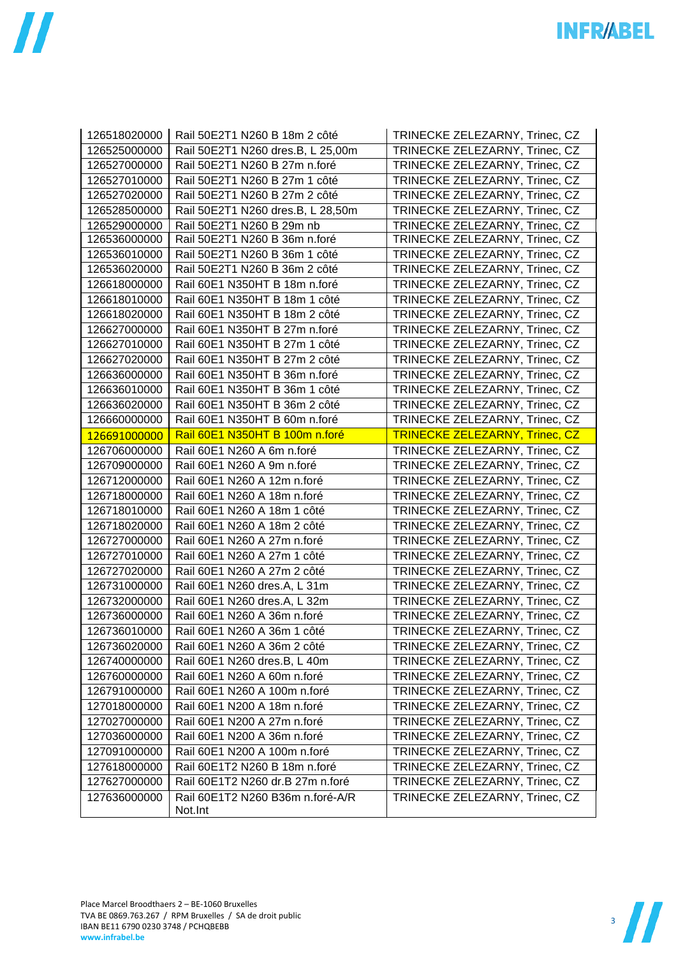| 126518020000 | Rail 50E2T1 N260 B 18m 2 côté               | TRINECKE ZELEZARNY, Trinec, CZ        |
|--------------|---------------------------------------------|---------------------------------------|
| 126525000000 | Rail 50E2T1 N260 dres.B, L 25,00m           | TRINECKE ZELEZARNY, Trinec, CZ        |
| 126527000000 | Rail 50E2T1 N260 B 27m n.foré               | TRINECKE ZELEZARNY, Trinec, CZ        |
| 126527010000 | Rail 50E2T1 N260 B 27m 1 côté               | TRINECKE ZELEZARNY, Trinec, CZ        |
| 126527020000 | Rail 50E2T1 N260 B 27m 2 côté               | TRINECKE ZELEZARNY, Trinec, CZ        |
| 126528500000 | Rail 50E2T1 N260 dres.B, L 28,50m           | TRINECKE ZELEZARNY, Trinec, CZ        |
| 126529000000 | Rail 50E2T1 N260 B 29m nb                   | TRINECKE ZELEZARNY, Trinec, CZ        |
| 126536000000 | Rail 50E2T1 N260 B 36m n.foré               | TRINECKE ZELEZARNY, Trinec, CZ        |
| 126536010000 | Rail 50E2T1 N260 B 36m 1 côté               | TRINECKE ZELEZARNY, Trinec, CZ        |
| 126536020000 | Rail 50E2T1 N260 B 36m 2 côté               | TRINECKE ZELEZARNY, Trinec, CZ        |
| 126618000000 | Rail 60E1 N350HT B 18m n.foré               | TRINECKE ZELEZARNY, Trinec, CZ        |
| 126618010000 | Rail 60E1 N350HT B 18m 1 côté               | TRINECKE ZELEZARNY, Trinec, CZ        |
| 126618020000 | Rail 60E1 N350HT B 18m 2 côté               | TRINECKE ZELEZARNY, Trinec, CZ        |
| 126627000000 | Rail 60E1 N350HT B 27m n.foré               | TRINECKE ZELEZARNY, Trinec, CZ        |
| 126627010000 | Rail 60E1 N350HT B 27m 1 côté               | TRINECKE ZELEZARNY, Trinec, CZ        |
| 126627020000 | Rail 60E1 N350HT B 27m 2 côté               | TRINECKE ZELEZARNY, Trinec, CZ        |
| 126636000000 | Rail 60E1 N350HT B 36m n.foré               | TRINECKE ZELEZARNY, Trinec, CZ        |
| 126636010000 | Rail 60E1 N350HT B 36m 1 côté               | TRINECKE ZELEZARNY, Trinec, CZ        |
| 126636020000 | Rail 60E1 N350HT B 36m 2 côté               | TRINECKE ZELEZARNY, Trinec, CZ        |
| 126660000000 | Rail 60E1 N350HT B 60m n.foré               | TRINECKE ZELEZARNY, Trinec, CZ        |
| 126691000000 | Rail 60E1 N350HT B 100m n.foré              | <b>TRINECKE ZELEZARNY, Trinec, CZ</b> |
| 126706000000 | Rail 60E1 N260 A 6m n.foré                  | TRINECKE ZELEZARNY, Trinec, CZ        |
| 126709000000 | Rail 60E1 N260 A 9m n.foré                  | TRINECKE ZELEZARNY, Trinec, CZ        |
| 126712000000 | Rail 60E1 N260 A 12m n.foré                 | TRINECKE ZELEZARNY, Trinec, CZ        |
| 126718000000 | Rail 60E1 N260 A 18m n.foré                 | TRINECKE ZELEZARNY, Trinec, CZ        |
| 126718010000 | Rail 60E1 N260 A 18m 1 côté                 | TRINECKE ZELEZARNY, Trinec, CZ        |
| 126718020000 | Rail 60E1 N260 A 18m 2 côté                 | TRINECKE ZELEZARNY, Trinec, CZ        |
| 126727000000 | Rail 60E1 N260 A 27m n.foré                 | TRINECKE ZELEZARNY, Trinec, CZ        |
| 126727010000 | Rail 60E1 N260 A 27m 1 côté                 | TRINECKE ZELEZARNY, Trinec, CZ        |
| 126727020000 | Rail 60E1 N260 A 27m 2 côté                 | TRINECKE ZELEZARNY, Trinec, CZ        |
| 126731000000 | Rail 60E1 N260 dres.A, L 31m                | TRINECKE ZELEZARNY, Trinec, CZ        |
| 126732000000 | Rail 60E1 N260 dres.A, L 32m                | TRINECKE ZELEZARNY, Trinec, CZ        |
| 126736000000 | Rail 60E1 N260 A 36m n.foré                 | TRINECKE ZELEZARNY, Trinec, CZ        |
| 126736010000 | Rail 60E1 N260 A 36m 1 côté                 | TRINECKE ZELEZARNY, Trinec, CZ        |
| 126736020000 | Rail 60E1 N260 A 36m 2 côté                 | TRINECKE ZELEZARNY, Trinec, CZ        |
| 126740000000 | Rail 60E1 N260 dres.B, L 40m                | TRINECKE ZELEZARNY, Trinec, CZ        |
| 126760000000 | Rail 60E1 N260 A 60m n.foré                 | TRINECKE ZELEZARNY, Trinec, CZ        |
| 126791000000 | Rail 60E1 N260 A 100m n.foré                | TRINECKE ZELEZARNY, Trinec, CZ        |
| 127018000000 | Rail 60E1 N200 A 18m n.foré                 | TRINECKE ZELEZARNY, Trinec, CZ        |
| 127027000000 | Rail 60E1 N200 A 27m n.foré                 | TRINECKE ZELEZARNY, Trinec, CZ        |
| 127036000000 | Rail 60E1 N200 A 36m n.foré                 | TRINECKE ZELEZARNY, Trinec, CZ        |
| 127091000000 | Rail 60E1 N200 A 100m n.foré                | TRINECKE ZELEZARNY, Trinec, CZ        |
| 127618000000 | Rail 60E1T2 N260 B 18m n.foré               | TRINECKE ZELEZARNY, Trinec, CZ        |
| 127627000000 | Rail 60E1T2 N260 dr.B 27m n.foré            | TRINECKE ZELEZARNY, Trinec, CZ        |
| 127636000000 | Rail 60E1T2 N260 B36m n.foré-A/R<br>Not.Int | TRINECKE ZELEZARNY, Trinec, CZ        |

**INFR/ABEL**